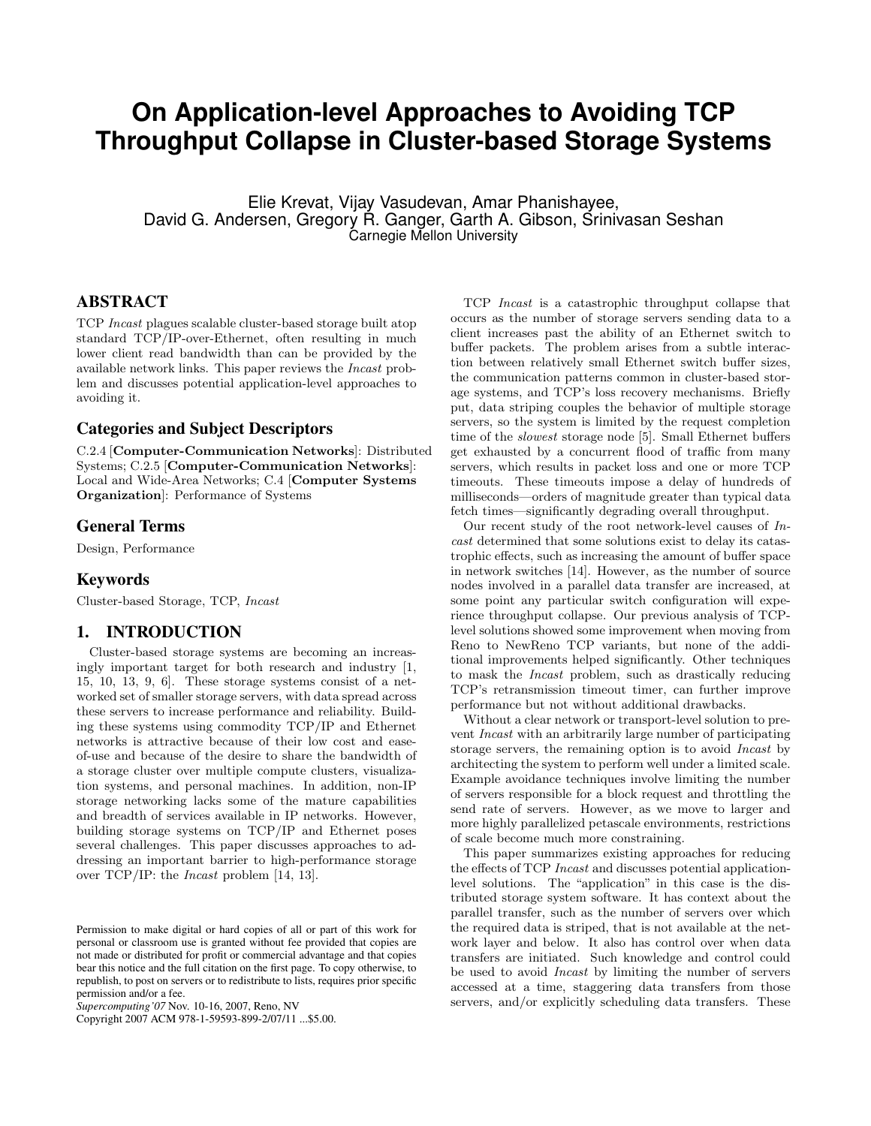# **On Application-level Approaches to Avoiding TCP Throughput Collapse in Cluster-based Storage Systems**

Elie Krevat, Vijay Vasudevan, Amar Phanishayee, David G. Andersen, Gregory R. Ganger, Garth A. Gibson, Srinivasan Seshan Carnegie Mellon University

# ABSTRACT

TCP Incast plagues scalable cluster-based storage built atop standard TCP/IP-over-Ethernet, often resulting in much lower client read bandwidth than can be provided by the available network links. This paper reviews the Incast problem and discusses potential application-level approaches to avoiding it.

# Categories and Subject Descriptors

C.2.4 [Computer-Communication Networks]: Distributed Systems; C.2.5 [Computer-Communication Networks]: Local and Wide-Area Networks; C.4 [Computer Systems Organization]: Performance of Systems

# General Terms

Design, Performance

# Keywords

Cluster-based Storage, TCP, Incast

# 1. INTRODUCTION

Cluster-based storage systems are becoming an increasingly important target for both research and industry [1, 15, 10, 13, 9, 6]. These storage systems consist of a networked set of smaller storage servers, with data spread across these servers to increase performance and reliability. Building these systems using commodity TCP/IP and Ethernet networks is attractive because of their low cost and easeof-use and because of the desire to share the bandwidth of a storage cluster over multiple compute clusters, visualization systems, and personal machines. In addition, non-IP storage networking lacks some of the mature capabilities and breadth of services available in IP networks. However, building storage systems on TCP/IP and Ethernet poses several challenges. This paper discusses approaches to addressing an important barrier to high-performance storage over TCP/IP: the Incast problem [14, 13].

Copyright 2007 ACM 978-1-59593-899-2/07/11 ...\$5.00.

TCP Incast is a catastrophic throughput collapse that occurs as the number of storage servers sending data to a client increases past the ability of an Ethernet switch to buffer packets. The problem arises from a subtle interaction between relatively small Ethernet switch buffer sizes, the communication patterns common in cluster-based storage systems, and TCP's loss recovery mechanisms. Briefly put, data striping couples the behavior of multiple storage servers, so the system is limited by the request completion time of the slowest storage node [5]. Small Ethernet buffers get exhausted by a concurrent flood of traffic from many servers, which results in packet loss and one or more TCP timeouts. These timeouts impose a delay of hundreds of milliseconds—orders of magnitude greater than typical data fetch times—significantly degrading overall throughput.

Our recent study of the root network-level causes of Incast determined that some solutions exist to delay its catastrophic effects, such as increasing the amount of buffer space in network switches [14]. However, as the number of source nodes involved in a parallel data transfer are increased, at some point any particular switch configuration will experience throughput collapse. Our previous analysis of TCPlevel solutions showed some improvement when moving from Reno to NewReno TCP variants, but none of the additional improvements helped significantly. Other techniques to mask the Incast problem, such as drastically reducing TCP's retransmission timeout timer, can further improve performance but not without additional drawbacks.

Without a clear network or transport-level solution to prevent Incast with an arbitrarily large number of participating storage servers, the remaining option is to avoid Incast by architecting the system to perform well under a limited scale. Example avoidance techniques involve limiting the number of servers responsible for a block request and throttling the send rate of servers. However, as we move to larger and more highly parallelized petascale environments, restrictions of scale become much more constraining.

This paper summarizes existing approaches for reducing the effects of TCP Incast and discusses potential applicationlevel solutions. The "application" in this case is the distributed storage system software. It has context about the parallel transfer, such as the number of servers over which the required data is striped, that is not available at the network layer and below. It also has control over when data transfers are initiated. Such knowledge and control could be used to avoid Incast by limiting the number of servers accessed at a time, staggering data transfers from those servers, and/or explicitly scheduling data transfers. These

Permission to make digital or hard copies of all or part of this work for personal or classroom use is granted without fee provided that copies are not made or distributed for profit or commercial advantage and that copies bear this notice and the full citation on the first page. To copy otherwise, to republish, to post on servers or to redistribute to lists, requires prior specific permission and/or a fee.

*Supercomputing'07* Nov. 10-16, 2007, Reno, NV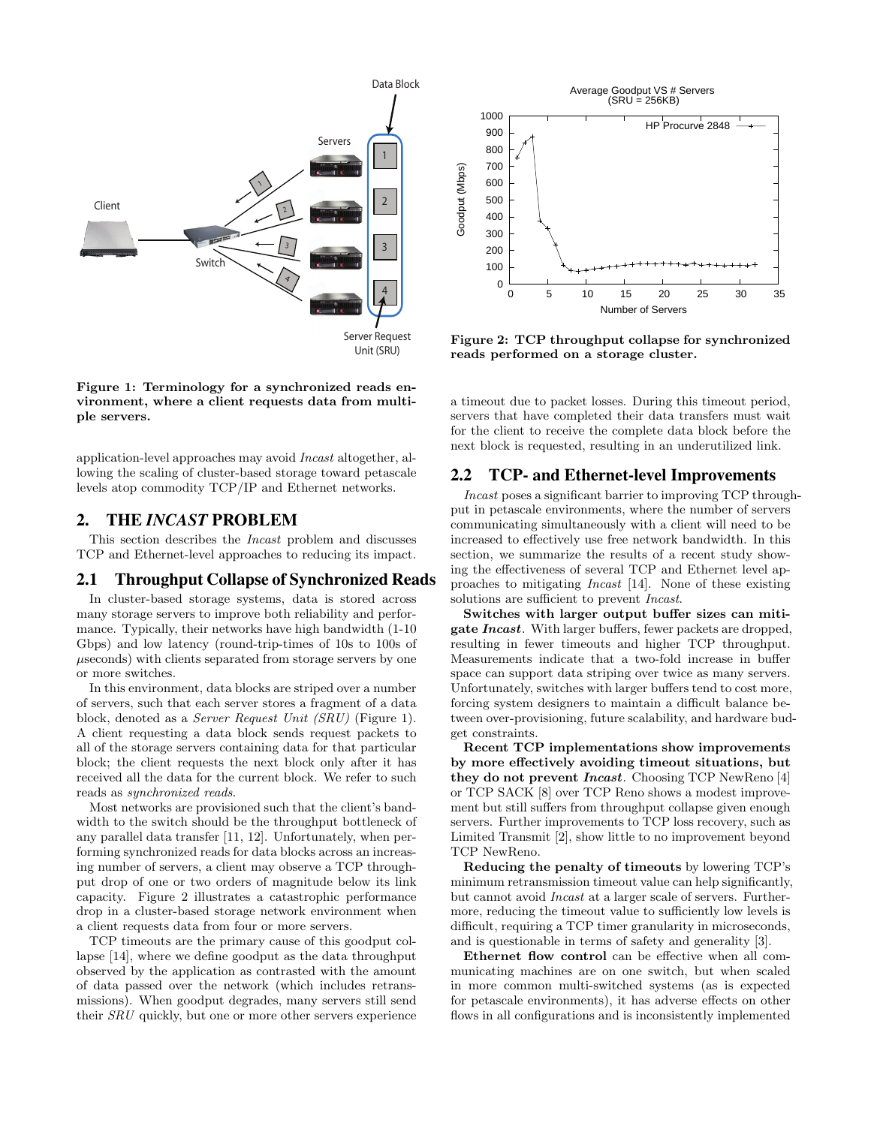

Figure 1: Terminology for a synchronized reads environment, where a client requests data from multiple servers.

application-level approaches may avoid Incast altogether, allowing the scaling of cluster-based storage toward petascale levels atop commodity TCP/IP and Ethernet networks.

# 2. THE *INCAST* PROBLEM

This section describes the Incast problem and discusses TCP and Ethernet-level approaches to reducing its impact.

#### 2.1 Throughput Collapse of Synchronized Reads

In cluster-based storage systems, data is stored across many storage servers to improve both reliability and performance. Typically, their networks have high bandwidth (1-10 Gbps) and low latency (round-trip-times of 10s to 100s of µseconds) with clients separated from storage servers by one or more switches.

In this environment, data blocks are striped over a number of servers, such that each server stores a fragment of a data block, denoted as a Server Request Unit (SRU) (Figure 1). A client requesting a data block sends request packets to all of the storage servers containing data for that particular block; the client requests the next block only after it has received all the data for the current block. We refer to such reads as synchronized reads.

Most networks are provisioned such that the client's bandwidth to the switch should be the throughput bottleneck of any parallel data transfer [11, 12]. Unfortunately, when performing synchronized reads for data blocks across an increasing number of servers, a client may observe a TCP throughput drop of one or two orders of magnitude below its link capacity. Figure 2 illustrates a catastrophic performance drop in a cluster-based storage network environment when a client requests data from four or more servers.

TCP timeouts are the primary cause of this goodput collapse [14], where we define goodput as the data throughput observed by the application as contrasted with the amount of data passed over the network (which includes retransmissions). When goodput degrades, many servers still send their SRU quickly, but one or more other servers experience



Figure 2: TCP throughput collapse for synchronized reads performed on a storage cluster.

a timeout due to packet losses. During this timeout period, servers that have completed their data transfers must wait for the client to receive the complete data block before the next block is requested, resulting in an underutilized link.

# 2.2 TCP- and Ethernet-level Improvements

Incast poses a significant barrier to improving TCP throughput in petascale environments, where the number of servers communicating simultaneously with a client will need to be increased to effectively use free network bandwidth. In this section, we summarize the results of a recent study showing the effectiveness of several TCP and Ethernet level approaches to mitigating Incast [14]. None of these existing solutions are sufficient to prevent Incast.

Switches with larger output buffer sizes can miti**gate Incast.** With larger buffers, fewer packets are dropped, resulting in fewer timeouts and higher TCP throughput. Measurements indicate that a two-fold increase in buffer space can support data striping over twice as many servers. Unfortunately, switches with larger buffers tend to cost more, forcing system designers to maintain a difficult balance between over-provisioning, future scalability, and hardware budget constraints.

Recent TCP implementations show improvements by more effectively avoiding timeout situations, but they do not prevent Incast. Choosing TCP NewReno [4] or TCP SACK [8] over TCP Reno shows a modest improvement but still suffers from throughput collapse given enough servers. Further improvements to TCP loss recovery, such as Limited Transmit [2], show little to no improvement beyond TCP NewReno.

Reducing the penalty of timeouts by lowering TCP's minimum retransmission timeout value can help significantly, but cannot avoid Incast at a larger scale of servers. Furthermore, reducing the timeout value to sufficiently low levels is difficult, requiring a TCP timer granularity in microseconds, and is questionable in terms of safety and generality [3].

Ethernet flow control can be effective when all communicating machines are on one switch, but when scaled in more common multi-switched systems (as is expected for petascale environments), it has adverse effects on other flows in all configurations and is inconsistently implemented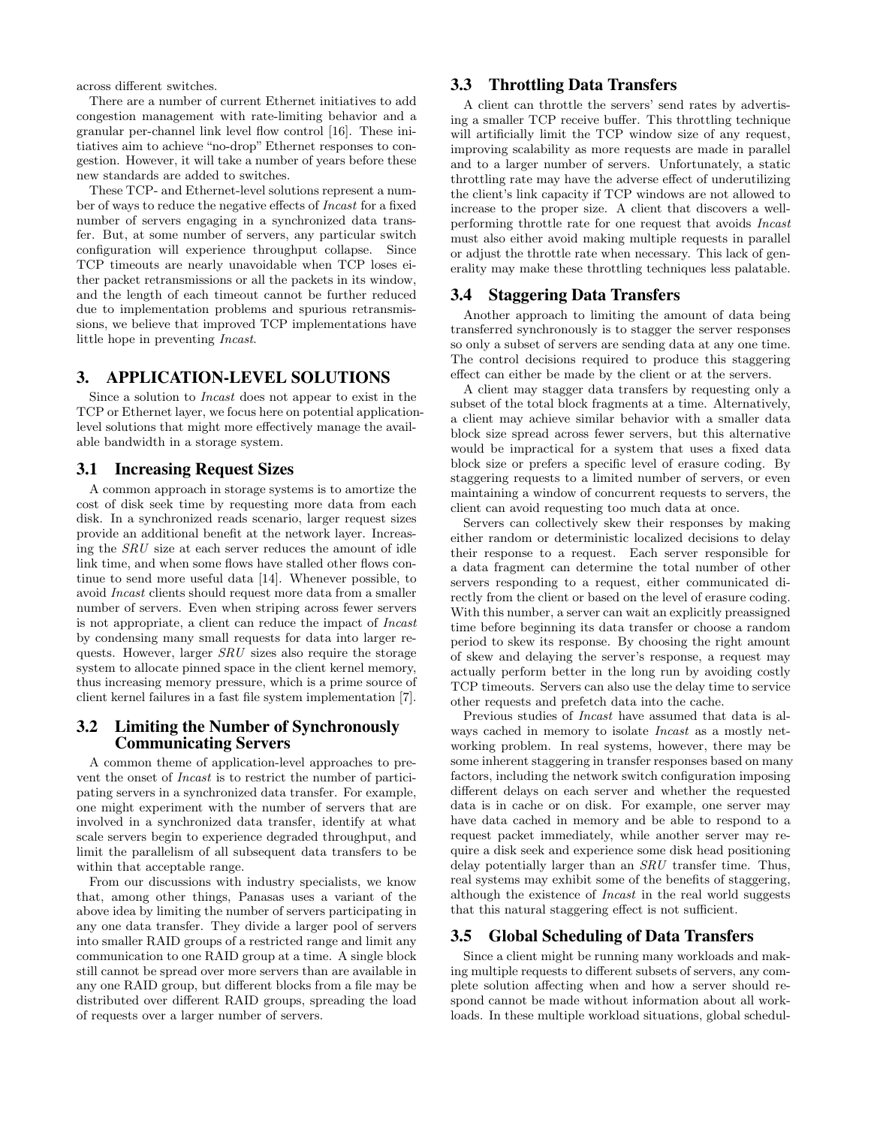across different switches.

There are a number of current Ethernet initiatives to add congestion management with rate-limiting behavior and a granular per-channel link level flow control [16]. These initiatives aim to achieve "no-drop" Ethernet responses to congestion. However, it will take a number of years before these new standards are added to switches.

These TCP- and Ethernet-level solutions represent a number of ways to reduce the negative effects of Incast for a fixed number of servers engaging in a synchronized data transfer. But, at some number of servers, any particular switch configuration will experience throughput collapse. Since TCP timeouts are nearly unavoidable when TCP loses either packet retransmissions or all the packets in its window, and the length of each timeout cannot be further reduced due to implementation problems and spurious retransmissions, we believe that improved TCP implementations have little hope in preventing Incast.

# 3. APPLICATION-LEVEL SOLUTIONS

Since a solution to Incast does not appear to exist in the TCP or Ethernet layer, we focus here on potential applicationlevel solutions that might more effectively manage the available bandwidth in a storage system.

# 3.1 Increasing Request Sizes

A common approach in storage systems is to amortize the cost of disk seek time by requesting more data from each disk. In a synchronized reads scenario, larger request sizes provide an additional benefit at the network layer. Increasing the SRU size at each server reduces the amount of idle link time, and when some flows have stalled other flows continue to send more useful data [14]. Whenever possible, to avoid Incast clients should request more data from a smaller number of servers. Even when striping across fewer servers is not appropriate, a client can reduce the impact of Incast by condensing many small requests for data into larger requests. However, larger SRU sizes also require the storage system to allocate pinned space in the client kernel memory, thus increasing memory pressure, which is a prime source of client kernel failures in a fast file system implementation [7].

# 3.2 Limiting the Number of Synchronously Communicating Servers

A common theme of application-level approaches to prevent the onset of Incast is to restrict the number of participating servers in a synchronized data transfer. For example, one might experiment with the number of servers that are involved in a synchronized data transfer, identify at what scale servers begin to experience degraded throughput, and limit the parallelism of all subsequent data transfers to be within that acceptable range.

From our discussions with industry specialists, we know that, among other things, Panasas uses a variant of the above idea by limiting the number of servers participating in any one data transfer. They divide a larger pool of servers into smaller RAID groups of a restricted range and limit any communication to one RAID group at a time. A single block still cannot be spread over more servers than are available in any one RAID group, but different blocks from a file may be distributed over different RAID groups, spreading the load of requests over a larger number of servers.

# 3.3 Throttling Data Transfers

A client can throttle the servers' send rates by advertising a smaller TCP receive buffer. This throttling technique will artificially limit the TCP window size of any request, improving scalability as more requests are made in parallel and to a larger number of servers. Unfortunately, a static throttling rate may have the adverse effect of underutilizing the client's link capacity if TCP windows are not allowed to increase to the proper size. A client that discovers a wellperforming throttle rate for one request that avoids Incast must also either avoid making multiple requests in parallel or adjust the throttle rate when necessary. This lack of generality may make these throttling techniques less palatable.

# 3.4 Staggering Data Transfers

Another approach to limiting the amount of data being transferred synchronously is to stagger the server responses so only a subset of servers are sending data at any one time. The control decisions required to produce this staggering effect can either be made by the client or at the servers.

A client may stagger data transfers by requesting only a subset of the total block fragments at a time. Alternatively, a client may achieve similar behavior with a smaller data block size spread across fewer servers, but this alternative would be impractical for a system that uses a fixed data block size or prefers a specific level of erasure coding. By staggering requests to a limited number of servers, or even maintaining a window of concurrent requests to servers, the client can avoid requesting too much data at once.

Servers can collectively skew their responses by making either random or deterministic localized decisions to delay their response to a request. Each server responsible for a data fragment can determine the total number of other servers responding to a request, either communicated directly from the client or based on the level of erasure coding. With this number, a server can wait an explicitly preassigned time before beginning its data transfer or choose a random period to skew its response. By choosing the right amount of skew and delaying the server's response, a request may actually perform better in the long run by avoiding costly TCP timeouts. Servers can also use the delay time to service other requests and prefetch data into the cache.

Previous studies of Incast have assumed that data is always cached in memory to isolate *Incast* as a mostly networking problem. In real systems, however, there may be some inherent staggering in transfer responses based on many factors, including the network switch configuration imposing different delays on each server and whether the requested data is in cache or on disk. For example, one server may have data cached in memory and be able to respond to a request packet immediately, while another server may require a disk seek and experience some disk head positioning delay potentially larger than an SRU transfer time. Thus, real systems may exhibit some of the benefits of staggering, although the existence of Incast in the real world suggests that this natural staggering effect is not sufficient.

# 3.5 Global Scheduling of Data Transfers

Since a client might be running many workloads and making multiple requests to different subsets of servers, any complete solution affecting when and how a server should respond cannot be made without information about all workloads. In these multiple workload situations, global schedul